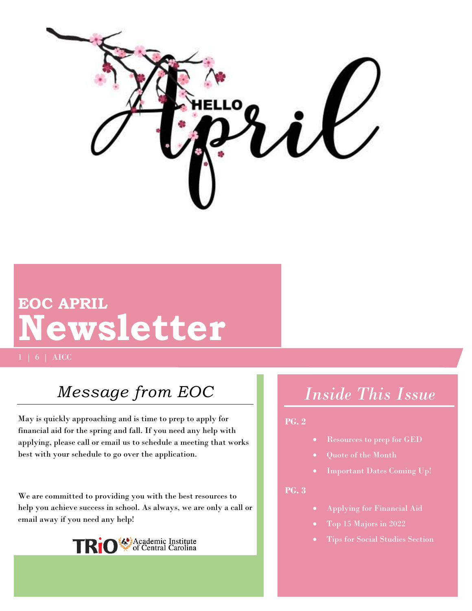

# **EOC APRIL Newsletter**

1 | 6 | AICC

## *Message from EOC*

May is quickly approaching and is time to prep to apply for financial aid for the spring and fall. If you need any help with applying, please call or email us to schedule a meeting that works best with your schedule to go over the application.

We are committed to providing you with the best resources to help you achieve success in school. As always, we are only a call or email away if you need any help!



## *Inside This Issue*

#### **PG. 2**

- Resources to prep for GED
- Quote of the Month
- Important Dates Coming Up!

#### **PG. 3**

- Applying for Financial Aid
- Top 15 Majors in 2022
- Tips for Social Studies Section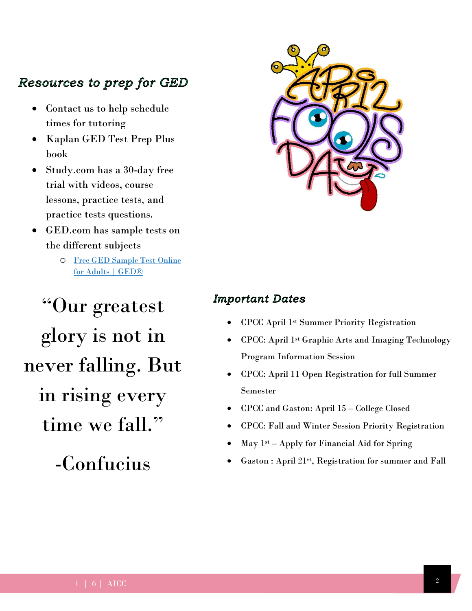### Resources to prep for GED

- Contact us to help schedule times for tutoring
- Kaplan GED Test Prep Plus book
- Study.com has a 30-day free trial with videos, course lessons, practice tests, and practice tests questions.
- GED.com has sample tests on the different subjects
	- o [Free GED Sample Test Online](https://ged.com/study/free_online_ged_test/?msclkid=2e3f898caeb311eca0b9b895c56f0226)  [for Adults | GED®](https://ged.com/study/free_online_ged_test/?msclkid=2e3f898caeb311eca0b9b895c56f0226)

"Our greatest glory is not in never falling. But in rising every time we fall."

-Confucius



#### **Important Dates**

- CPCC April 1st Summer Priority Registration
- CPCC: April 1st Graphic Arts and Imaging Technology Program Information Session
- CPCC: April 11 Open Registration for full Summer Semester
- CPCC and Gaston: April 15 College Closed
- CPCC: Fall and Winter Session Priority Registration
- May  $1<sup>st</sup> Apply for Financial Aid for Spring$
- Gaston : April 21st , Registration for summer and Fall